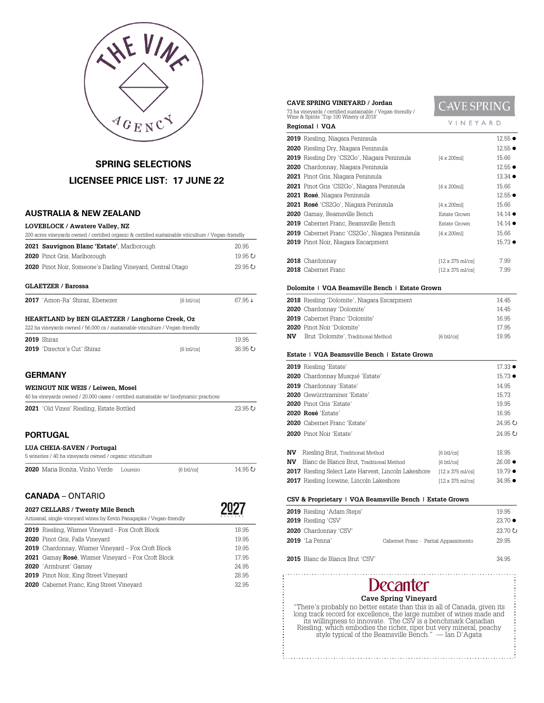

# **SPRING SELECTIONS LICENSEE PRICE LIST: 17 JUNE 22**

# **AUSTRALIA & NEW ZEALAND**

| <b>LOVEBLOCK / Awatere Valley. NZ</b>                                                              |
|----------------------------------------------------------------------------------------------------|
| 200 acres vineyards owned / certified organic & certified sustainable viticulture / Vegan-friendly |

| 2021 Sauvignon Blanc 'Estate', Marlborough                        | 20.95        |
|-------------------------------------------------------------------|--------------|
| 2020 Pinot Gris, Marlborough                                      | $19.95 \cup$ |
| <b>2020</b> Pinot Noir, Someone's Darling Vineyard, Central Otago | $29.95 \cup$ |
| <b>GLAETZER / Barossa</b>                                         |              |

|  | 2017 'Amon-Ra' Shiraz, Ebenezer | $[6 \text{ btl/cs}]$ | 67.95↓ |
|--|---------------------------------|----------------------|--------|

# **HEARTLAND by BEN GLAETZER / Langhorne Creek, Oz**

| 222 ha vineyards owned / 56,000 cs / sustainable viticulture / Vegan-friendly |                                     |                     |         |
|-------------------------------------------------------------------------------|-------------------------------------|---------------------|---------|
|                                                                               | <b>2019</b> Shiraz                  |                     | 19.95   |
|                                                                               | <b>2019</b> 'Director's Cut' Shiraz | $6 \text{ btl/csl}$ | 36.95 U |

# **GERMANY**

| WEINGUT NIK WEIS / Leiwen, Mosel<br>40 ha vineyards owned / 20,000 cases / certified sustainable w/ biodynamic practices |              |  |
|--------------------------------------------------------------------------------------------------------------------------|--------------|--|
| <b>2021</b> 'Old Vines' Riesling, Estate Bottled                                                                         | $23.95 \cup$ |  |
|                                                                                                                          |              |  |

# **PORTUGAL**

### **LUA CHEIA-SAVEN / Portugal**

| 5 wineries / 40 ha vinevards owned / organic viticulture |          |            |         |  |
|----------------------------------------------------------|----------|------------|---------|--|
| 2020 Maria Bonita. Vinho Verde                           | Loureiro | [6 btl/cs] | 14.95 U |  |

# **CANADA** – ONTARIO

| 2027 CELLARS / Twenty Mile Bench<br>Artisanal, single-vineyard wines by Kevin Panagapka / Vegan-friendly |       |
|----------------------------------------------------------------------------------------------------------|-------|
| <b>2019</b> Riesling, Wismer Vineyard - Fox Croft Block                                                  | 18.95 |
| 2020 Pinot Gris, Falls Vineyard                                                                          | 19.95 |
| <b>2019</b> Chardonnay, Wismer Vineyard - Fox Croft Block                                                | 19.95 |
| <b>2021</b> Gamay Rosé, Wismer Vineyard – Fox Croft Block                                                | 17.95 |
| 2020 'Armburst' Gamay                                                                                    | 24.95 |
| <b>2019</b> Pinot Noir, King Street Vineyard                                                             | 28.95 |
| <b>2020</b> Cabernet Franc, King Street Vineyard                                                         | 32.95 |

| CAVE SPRING VINEYARD / Jordan                                                                         |                                                      | <b>CAVE SPRING</b>              |                 |
|-------------------------------------------------------------------------------------------------------|------------------------------------------------------|---------------------------------|-----------------|
| 73 ha vineyards / certified sustainable / Vegan-friendly /<br>Wine & Spirits 'Top 100 Winery of 2018' |                                                      |                                 |                 |
|                                                                                                       | VINEYARD<br>Regional   VQA                           |                                 |                 |
|                                                                                                       | <b>2019</b> Riesling, Niagara Peninsula              |                                 | $12.55 \bullet$ |
|                                                                                                       | <b>2020</b> Riesling Dry, Niagara Peninsula          |                                 | $12.55 \bullet$ |
|                                                                                                       | <b>2019</b> Riesling Dry 'CS2Go', Niagara Peninsula  | $[4 \times 200$ ml              | 15.66           |
|                                                                                                       | <b>2020</b> Chardonnay, Niagara Peninsula            |                                 | $12.55 \bullet$ |
|                                                                                                       | <b>2021</b> Pinot Gris, Niagara Peninsula            |                                 | $13.34 \bullet$ |
|                                                                                                       | <b>2021</b> Pinot Gris 'CS2Go', Niagara Peninsula    | $[4 \times 200$ ml              | 15.66           |
|                                                                                                       | <b>2021 Rosé</b> , Niagara Peninsula                 |                                 | $12.55 \bullet$ |
|                                                                                                       | <b>2021 Rosé</b> 'CS2Go', Niagara Peninsula          | $[4 \times 200$ ml $]$          | 15.66           |
|                                                                                                       | <b>2020</b> Gamay, Beamsville Bench                  | Estate Grown                    | $14.14 \bullet$ |
|                                                                                                       | 2019 Cabernet Franc, Beamsville Bench                | Estate Grown                    | $14.14 \bullet$ |
|                                                                                                       | <b>2019</b> Cabemet Franc 'CS2Go', Niagara Peninsula | $[4 \times 200$ ml $]$          | 15.66           |
|                                                                                                       | 2019 Pinot Noir, Niagara Escarpment                  |                                 | $15.73 \bullet$ |
|                                                                                                       | 2018 Chardonnay                                      | [12 x 375 ml/cs]                | 7.99            |
|                                                                                                       | 2018 Cabernet Franc                                  | $[12 \times 375 \text{ mJ/cs}]$ | 7.99            |

### **Dolomite | VQA Beamsville Bench | Estate Grown**

|                                                                                                                                                                                                 | 14 45 |
|-------------------------------------------------------------------------------------------------------------------------------------------------------------------------------------------------|-------|
|                                                                                                                                                                                                 | 14 45 |
|                                                                                                                                                                                                 | 16.95 |
|                                                                                                                                                                                                 | 17.95 |
| $6 \text{ btl/csl}$                                                                                                                                                                             | 19 95 |
| 2018 Riesling 'Dolomite', Niagara Escarpment<br>2020 Chardonnay 'Dolomite'<br><b>2019</b> Cabernet Franc 'Dolomite'<br><b>2020</b> Pinot Noir 'Dolomite'<br>Brut 'Dolomite', Traditional Method |       |

### **Estate | VQA Beamsville Bench | Estate Grown**

|     | 2019 Riesling 'Estate'                               |                                  | $17.33 \bullet$             |
|-----|------------------------------------------------------|----------------------------------|-----------------------------|
|     | 2020 Chardonnav Musqué 'Estate'                      |                                  | $15.73 \bullet$             |
|     | 2019 Chardonnay 'Estate'                             |                                  | 14.95                       |
|     | 2020 Gewürztraminer 'Estate'                         |                                  | 15.73                       |
|     | 2020 Pinot Gris 'Estate'                             |                                  | 19.95                       |
|     | 2020 Rosé 'Estate'                                   |                                  | 16.95                       |
|     | <b>2020</b> Cabernet Franc 'Estate'                  |                                  | 24.95 U                     |
|     | <b>2020</b> Pinot Noir 'Estate'                      |                                  | $24.95$ $\circlearrowright$ |
| NV. | Riesling Brut, Traditional Method                    | $[6 \text{ btl/cs}]$             | 18.95                       |
| NV  | Blanc de Blancs Brut, Traditional Method             | $[6 \text{ btl/cs}]$             | $26.08 \bullet$             |
|     | 2017 Riesling Select Late Harvest, Lincoln Lakeshore | $12 \times 375$ ml/csl           | $19.79 \bullet$             |
|     | 2017 Riesling Icewine, Lincoln Lakeshore             | $[12 \times 375 \text{ mJ}$ /cs] | $34.95 \bullet$             |

### **CSV & Proprietary | VQA Beamsville Bench | Estate Grown**

| <b>2019</b> Riesling 'Adam Steps' |                                       | 19.95                       |
|-----------------------------------|---------------------------------------|-----------------------------|
| 2019 Riesling 'CSV'               |                                       | $23.70 \bullet$             |
| 2020 Chardonnay 'CSV'             |                                       | $23.70$ $\circlearrowright$ |
| <b>2019</b> 'La Penna'            | Cabernet Franc - Partial Appassimento | 29.95                       |
|                                   |                                       |                             |

# Blanc de Blancs Brut 'CSV' 34.95

# Decanter

**Cave Spring Vineyard** "There's probably no better estate than this in all of Canada, given its<br>long track record for excellence, the large number of wines made and<br>its willingness to innovate. The CSV is a benchmark Canadian<br>Riesling, which emb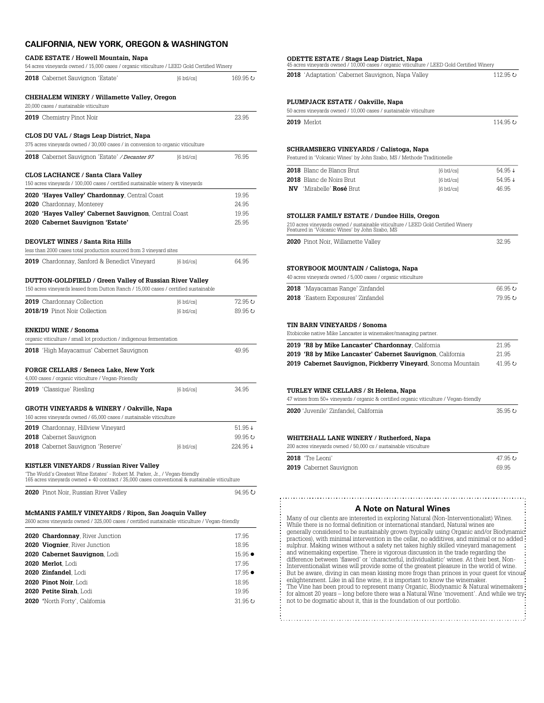# **CALIFORNIA, NEW YORK, OREGON & WASHINGTON**

### **CADE ESTATE / Howell Mountain, Napa**

| 54 acres vineyards owned / 15,000 cases / organic viticulture / LEED Gold Certified Winery                                                                                     |                      |                 |
|--------------------------------------------------------------------------------------------------------------------------------------------------------------------------------|----------------------|-----------------|
| <b>2018</b> Cabernet Sauvignon 'Estate'                                                                                                                                        | $[6 \text{ btl/cs}]$ |                 |
| CHEHALEM WINERY / Willamette Valley, Oregon<br>20,000 cases / sustainable viticulture                                                                                          |                      |                 |
| 2019 Chemistry Pinot Noir                                                                                                                                                      |                      | 23.95           |
| CLOS DU VAL / Stags Leap District, Napa                                                                                                                                        |                      |                 |
| 375 acres vineyards owned / 30,000 cases / in conversion to organic viticulture                                                                                                |                      |                 |
| 2018 Cabernet Sauvignon 'Estate' / Decanter 97                                                                                                                                 | $[6 \text{ btl/cs}]$ | 76.95           |
| CLOS LACHANCE / Santa Clara Valley                                                                                                                                             |                      |                 |
| 150 acres vineyards / 100,000 cases / certified sustainable winery & vineyards                                                                                                 |                      |                 |
| 2020 'Hayes Valley' Chardonnay, Central Coast                                                                                                                                  |                      | 19.95           |
| 2020 Chardonnay, Monterey                                                                                                                                                      |                      | 24.95           |
| 2020 'Hayes Valley' Cabernet Sauvignon, Central Coast                                                                                                                          |                      | 19.95           |
| 2020 Cabernet Sauvignon 'Estate'                                                                                                                                               |                      | 25.95           |
| <b>DEOVLET WINES / Santa Rita Hills</b>                                                                                                                                        |                      |                 |
| less than 2000 cases total production sourced from 3 vineyard sites                                                                                                            |                      |                 |
| <b>2019</b> Chardonnay, Sanford & Benedict Vineyard                                                                                                                            | $[6 \text{ btl/cs}]$ | 64.95           |
| DUTTON-GOLDFIELD / Green Valley of Russian River Valley                                                                                                                        |                      |                 |
| 150 acres vineyards leased from Dutton Ranch / 15,000 cases / certified sustainable                                                                                            |                      |                 |
| <b>2019</b> Chardonnay Collection                                                                                                                                              | $[6 \text{ btl/cs}]$ | 72.95 U         |
| 2018/19 Pinot Noir Collection                                                                                                                                                  | $[6 \text{ btl/cs}]$ | 89.95 U         |
|                                                                                                                                                                                |                      |                 |
| <b>ENKIDU WINE / Sonoma</b>                                                                                                                                                    |                      |                 |
| organic viticulture / small lot production / indigenous fermentation                                                                                                           |                      |                 |
| 2018 'High Mayacamus' Cabernet Sauvignon                                                                                                                                       |                      | 49.95           |
|                                                                                                                                                                                |                      |                 |
| FORGE CELLARS / Seneca Lake, New York                                                                                                                                          |                      |                 |
| 4,000 cases / organic viticulture / Vegan-Friendly                                                                                                                             |                      |                 |
| <b>2019</b> 'Classique' Riesling                                                                                                                                               | $[6 \text{ btl/cs}]$ | 34.95           |
| GROTH VINEYARDS & WINERY / Oakville, Napa                                                                                                                                      |                      |                 |
| 160 acres vineyards owned / 65,000 cases / sustainable viticulture                                                                                                             |                      |                 |
| 2019 Chardonnay, Hillview Vineyard                                                                                                                                             |                      | 51.95↓          |
| 2018 Cabernet Sauvignon                                                                                                                                                        |                      | 99.95 ひ         |
| <b>2018</b> Cabernet Sauvignon 'Reserve'                                                                                                                                       | $[6 \text{ btl/cs}]$ | 224.95↓         |
| KISTLER VINEYARDS / Russian River Valley                                                                                                                                       |                      |                 |
| 'The World's Greatest Wine Estates' - Robert M. Parker, Jr., / Vegan-friendly<br>165 acres vineyards owned + 40 contract / 35,000 cases conventional & sustainable viticulture |                      |                 |
| 2020 Pinot Noir, Russian River Valley                                                                                                                                          |                      | 94.95 U         |
|                                                                                                                                                                                |                      |                 |
| <b>McMANIS FAMILY VINEYARDS / Ripon, San Joaquin Valley</b>                                                                                                                    |                      |                 |
| 2600 acres vineyards owned / 325,000 cases / certified sustainable viticulture / Vegan-friendly                                                                                |                      |                 |
| 2020 Chardonnay, River Junction                                                                                                                                                |                      | 17.95           |
| 2020 Viognier, River Junction                                                                                                                                                  |                      | 18.95           |
| 2020 Cabernet Sauvignon, Lodi                                                                                                                                                  |                      | $15.95 \bullet$ |
| 2020 Merlot, Lodi                                                                                                                                                              |                      | 17.95           |

**2020 Zinfandel**, Lodi 17.95  $\bullet$  **Pinot Noir**, Lodi 18.95 **Petite Sirah**, Lodi 19.95 'North Forty', California 31.95  $\circ$ 

| 2018 'Mayacamas Range' Zinfandel                                                                                                                                                                                                                                                                                                                                                                                                                                                                                                                                                                                                                                                                                                                                           | 66.95 0  |
|----------------------------------------------------------------------------------------------------------------------------------------------------------------------------------------------------------------------------------------------------------------------------------------------------------------------------------------------------------------------------------------------------------------------------------------------------------------------------------------------------------------------------------------------------------------------------------------------------------------------------------------------------------------------------------------------------------------------------------------------------------------------------|----------|
| 2018 'Eastern Exposures' Zinfandel                                                                                                                                                                                                                                                                                                                                                                                                                                                                                                                                                                                                                                                                                                                                         | 79.95 U  |
| TIN BARN VINEYARDS / Sonoma<br>Etobicoke native Mike Lancaster is winemaker/managing partner.                                                                                                                                                                                                                                                                                                                                                                                                                                                                                                                                                                                                                                                                              |          |
| 2019 'R8 by Mike Lancaster' Chardonnay, California                                                                                                                                                                                                                                                                                                                                                                                                                                                                                                                                                                                                                                                                                                                         | 21.95    |
| 2019 'R8 by Mike Lancaster' Cabernet Sauvignon, California                                                                                                                                                                                                                                                                                                                                                                                                                                                                                                                                                                                                                                                                                                                 | 21.95    |
| 2019 Cabernet Sauvignon, Pickberry Vineyard, Sonoma Mountain                                                                                                                                                                                                                                                                                                                                                                                                                                                                                                                                                                                                                                                                                                               | 41.95 () |
| TURLEY WINE CELLARS / St Helena, Napa<br>47 wines from 50+ vineyards / organic & certified organic viticulture / Vegan-friendly                                                                                                                                                                                                                                                                                                                                                                                                                                                                                                                                                                                                                                            |          |
|                                                                                                                                                                                                                                                                                                                                                                                                                                                                                                                                                                                                                                                                                                                                                                            |          |
| 2020 'Juvenile' Zinfandel. California                                                                                                                                                                                                                                                                                                                                                                                                                                                                                                                                                                                                                                                                                                                                      | 35.95 U  |
| WHITEHALL LANE WINERY / Rutherford, Napa<br>200 acres vineyards owned / 50,000 cs / sustainable viticulture                                                                                                                                                                                                                                                                                                                                                                                                                                                                                                                                                                                                                                                                |          |
| 2018 'Tre Leoni'                                                                                                                                                                                                                                                                                                                                                                                                                                                                                                                                                                                                                                                                                                                                                           | 47.95 U  |
| 2019 Cabernet Sauvignon                                                                                                                                                                                                                                                                                                                                                                                                                                                                                                                                                                                                                                                                                                                                                    | 69.95    |
| <b>A Note on Natural Wines</b><br>Many of our clients are interested in exploring Natural (Non-Interventionalist) Wines.<br>While there is no formal definition or international standard, Natural wines are<br>generally considered to be sustainably grown (typically using Organic and/or Biodynamic<br>practices), with minimal intervention in the cellar, no additives, and minimal or no added<br>sulphur. Making wines without a safety net takes highly skilled vineyard management<br>and winemaking expertise. There is vigorous discussion in the trade regarding the<br>difference between 'flawed' or 'characterful, individualistic' wines. At their best, Non-<br>Interventionalist wines will provide some of the greatest pleasure in the world of wine. |          |

**ODETTE ESTATE / Stags Leap District, Napa** 45 acres vineyards owned / 10,000 cases / organic viticulture / LEED Gold Certified Winery **2018** 'Adaptation' Cabernet Sauvignon, Napa Valley 112.95 \,

**2019** Merlot 114.95  $\cup$ 

**2018** Blanc de Blancs Brut  $[6 \text{ btl/cs}]$  54.95  $\downarrow$ **2018** Blanc de Noirs Brut  $[6 \text{ btl/cs}]$  54.95  $\downarrow$ **NV** 'Mirabelle' **Rosé** Brut [6 btl/cs] 46.95

**2020** Pinot Noir, Willamette Valley 32.95

**PLUMPJACK ESTATE / Oakville, Napa**

50 acres vineyards owned / 10,000 cases / sustainable viticulture

**SCHRAMSBERG VINEYARDS / Calistoga, Napa** Featured in 'Volcanic Wines' by John Szabo, MS / Methode Traditionelle

**STOLLER FAMILY ESTATE / Dundee Hills, Oregon**

210 acres vineyards owned / sustainable viticulture / LEED Gold Certified Winery Featured in 'Volcanic Wines' by John Szabo, MS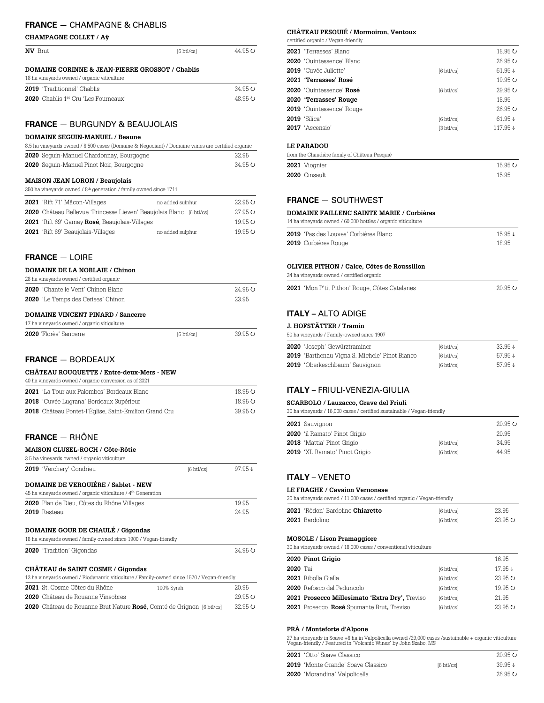# **FRANCE** — CHAMPAGNE & CHABLIS

### **CHAMPAGNE COLLET / Aÿ**

| <b>NV</b> Brut                                             | $6 \text{ btl}$ cs $\text{l}$ | 44.95 U |
|------------------------------------------------------------|-------------------------------|---------|
| <b>DOMAINE CORINNE &amp; JEAN-PIERRE GROSSOT / Chablis</b> |                               |         |
| 18 ha vineyards owned / organic viticulture                |                               |         |
| <b>2019</b> 'Traditionnel' Chablis                         |                               | 34.95 U |

**2020** Chablis 1<sup>er</sup> Cru 'Les Fourneaux' 48.95 **P** 

### **FRANCE**— BURGUNDY & BEAUJOLAIS

# **DOMAINE SEGUIN-MANUEL / Beaune**

| 8.5 ha vineyards owned / 8,500 cases (Domaine & Negociant) / Domaine wines are certified organic |         |
|--------------------------------------------------------------------------------------------------|---------|
| 2020 Sequin-Manuel Chardonnay, Bourgogne                                                         | 32.95   |
| <b>2020</b> Sequin-Manuel Pinot Noir, Bourgogne                                                  | 34.95 U |

### **MAISON JEAN LORON / Beaujolais**

| 350 ha vineyards owned / 8 <sup>th</sup> generation / family owned since 1711 |  |
|-------------------------------------------------------------------------------|--|
|-------------------------------------------------------------------------------|--|

| 2021 'Rift 71' Mâcon-Villages                                               | no added sulphur | $22.95 \cup$ |
|-----------------------------------------------------------------------------|------------------|--------------|
| <b>2020</b> Château Bellevue 'Princesse Lieven' Beaujolais Blanc [6 btl/cs] |                  | 27.95 ひ      |
| <b>2021</b> 'Rift 69' Gamay Rosé, Beaujolais-Villages                       |                  | 19.95 ひ      |
| <b>2021</b> 'Rift 69' Beaujolais-Villages                                   | no added sulphur | 19.95 ひ      |

### **FRANCE**— LOIRE

### **DOMAINE DE LA NOBLAIE / Chinon**

| 28 ha vinevards owned / certified organic |         |
|-------------------------------------------|---------|
| <b>2020</b> 'Chante le Vent' Chinon Blanc | 24.95 U |
| <b>2020</b> 'Le Temps des Cerises' Chinon | 23.95   |
|                                           |         |

# **DOMAINE VINCENT PINARD / Sancerre**

| 17 ha vineyards owned / organic viticulture |                        |         |
|---------------------------------------------|------------------------|---------|
| <b>2020</b> 'Florès' Sancerre               | $6 \text{ btl}$ cs $1$ | 39.95 U |

### **FRANCE**— BORDEAUX

### **CHÂTEAU ROUQUETTE / Entre-deux-Mers - NEW**

| 40 ha vinevards owned / organic conversion as of 2021 |         |
|-------------------------------------------------------|---------|
| 2021 'La Tour aux Palombes' Bordeaux Blanc            | 18.95 ひ |
| 2018 'Cuvée Lugrana' Bordeaux Supérieur               | 18.95 ひ |
| 2018 Château Pontet-l'Église, Saint-Émilion Grand Cru | 3995    |
|                                                       |         |

# **FRANCE**— RHÔNE

| MAISON CLUSEL-ROCH / Côte-Rôtie                                                                                                |                      |                        |
|--------------------------------------------------------------------------------------------------------------------------------|----------------------|------------------------|
| 3.5 ha vineyards owned / organic viticulture                                                                                   |                      |                        |
| 2019 'Verchery' Condrieu                                                                                                       | $[6 \text{ btl/cs}]$ | $97.95 \downarrow$     |
| <b>DOMAINE DE VERQUIÉRE / Sablet - NEW</b><br>45 ha vineyards owned / organic viticulture / 4 <sup>th</sup> Generation         |                      |                        |
| <b>2020</b> Plan de Dieu, Côtes du Rhône Villages                                                                              |                      | 19.95                  |
| 2019 Rasteau                                                                                                                   |                      | 24.95                  |
| <b>DOMAINE GOUR DE CHAULÉ / Gigondas</b><br>18 ha vineyards owned / family owned since 1900 / Vegan-friendly                   |                      |                        |
| 2020 'Tradition' Gigondas                                                                                                      |                      | 34.95 U                |
| CHÂTEAU de SAINT COSME / Gigondas<br>12 ha vineyards owned / Biodynamic viticulture / Family-owned since 1570 / Vegan-friendly |                      |                        |
| 2021 St. Cosme Côtes du Rhône                                                                                                  | 100% Syrah           | 20.95                  |
|                                                                                                                                |                      | $\cap \cap \cap \dots$ |

| 2020 Château de Rouanne Vinsobres                                            | 29.95 U |
|------------------------------------------------------------------------------|---------|
| <b>2020</b> Château de Rouanne Brut Nature Rosé, Comté de Grignon [6 btl/cs] | 32.95 U |

## **CHÂTEAU PESQUIÉ / Mormoiron, Ventoux**

certified organic / Vegan-friendly

| 2021 'Terrasses' Blanc                       |                      | 18.95 ひ            |
|----------------------------------------------|----------------------|--------------------|
| <b>2020</b> 'Ouintessence' Blanc             |                      | 26.95 U            |
| 2019 'Cuvée Juliette'                        | $[6 \text{ btl/cs}]$ | $61.95 \downarrow$ |
| 2021 'Terrasses' Rosé                        |                      | 19.95 ひ            |
| 2020 'Quintessence' Rosé                     | $[6 \text{ btl/cs}]$ | 29.95 U            |
| 2020 'Terrasses' Rouge                       |                      | 18.95              |
| <b>2019</b> 'Quintessence' Rouge             |                      | 26.95 U            |
| <b>2019</b> 'Silica'                         | $[6 \text{ btl/cs}]$ | 61.95↓             |
| 2017 'Ascensio'                              | $[3 \text{ btl/cs}]$ | 117.95↓            |
| <b>LE PARADOU</b>                            |                      |                    |
| from the Chaudière family of Château Pesquié |                      |                    |
| 2021 Viognier                                |                      | 15.95 U            |
| 2020 Cinsault                                |                      | 15.95              |
|                                              |                      |                    |

# **FRANCE** — SOUTHWEST

24 ha vineyards owned / certified organic

### **DOMAINE FAILLENC SAINTE MARIE / Corbières**

| 14 ha vinevards owned / 60,000 bottles / organic viticulture |                    |
|--------------------------------------------------------------|--------------------|
| <b>2019</b> 'Pas des Louves' Corbières Blanc                 | $15.95 \downarrow$ |
| 2019 Corbières Rouge                                         | 18.95              |

#### **OLIVIER PITHON / Calce, Côtes de Roussillon**

| 2021 'Mon P'tit Pithon' Rouge, Côtes Catalanes |  | 20.95 ¢ |
|------------------------------------------------|--|---------|

# **ITALY –** ALTO ADIGE

### **J. HOFSTÄTTER / Tramin**

| 50 ha vineyards / Family-owned since 1907             |                        |                    |
|-------------------------------------------------------|------------------------|--------------------|
| <b>2020</b> 'Joseph' Gewürztraminer                   | $6 \text{ btl/csl}$    | $33.95 \downarrow$ |
| <b>2019</b> 'Barthenau Vigna S. Michele' Pinot Bianco | $6 \text{ btl/csl}$    | $57.95 \downarrow$ |
| 2019 'Oberkeschbaum' Sauvignon                        | $6 \text{ btl}$ cs $1$ | $57.95 \downarrow$ |

## **ITALY** – FRIULI-VENEZIA-GIULIA

**SCARBOLO / Lauzacco, Grave del Friuli** 30 ha vineyards / 16,000 cases / certified sustainable / Vegan-friendly

| 2021 Sauvignon                       |                      | 20.95 U |
|--------------------------------------|----------------------|---------|
| 2020 'il Ramato' Pinot Grigio        |                      | 20.95   |
| 2018 'Mattia' Pinot Grigio           | $6 \text{ btl/csl}$  | 34.95   |
| <b>2019</b> 'XL Ramato' Pinot Grigio | $[6 \text{ btl/cs}]$ | 44.95   |

# **ITALY** – VENETO

### **LE FRAGHE / Cavaion Vernonese**

| 30 ha vineyards owned / 11,000 cases / certified organic / Vegan-friendly |  |
|---------------------------------------------------------------------------|--|
|---------------------------------------------------------------------------|--|

| <b>2021</b> 'Ròdon' Bardolino <b>Chiaretto</b> | 6 btl/csl | 23.95   |
|------------------------------------------------|-----------|---------|
| <b>2021</b> Bardolino                          | 6 btl/csl | 23.95 U |

#### **MOSOLE / Lison Pramaggiore**

30 ha vineyards owned / 18,000 cases / conventional viticulture

|          | 2020 Pinot Grigio                              |                        | 16.95   |
|----------|------------------------------------------------|------------------------|---------|
| 2020 Tai |                                                | $[6 \text{ btl/cs}]$   | 17.95↓  |
|          | <b>2021</b> Ribolla Gialla                     | $6 \text{ btl}$ cs $1$ | 23.95 U |
|          | <b>2020</b> Refosco dal Peduncolo              | $6 \text{ btl}$ cs $1$ | 19.95 ひ |
|          | 2021 Prosecco Millesimato 'Extra Dry', Treviso | $6 \text{ btl}$ cs $1$ | 21.95   |
|          | 2021 Prosecco Rosé Spumante Brut, Treviso      | $[6 \text{ btl/cs}]$   | 23.95 U |

### **PRÀ / Monteforte d'Alpone**

27 ha vineyards in Soave +8 ha in Valpolicella owned /29,000 cases /sustainable + organic viticulture Vegan-friendly / Featured in 'Volcanic Wines' by John Szabo, MS

| <b>2021</b> 'Otto' Soave Classico         |                        | - 20.95 ひ          |
|-------------------------------------------|------------------------|--------------------|
| <b>2019</b> 'Monte Grande' Soave Classico | $6 \text{ btl}$ cs $1$ | $39.95 \downarrow$ |
| <b>2020</b> 'Morandina' Valpolicella      |                        | 26.95 U            |